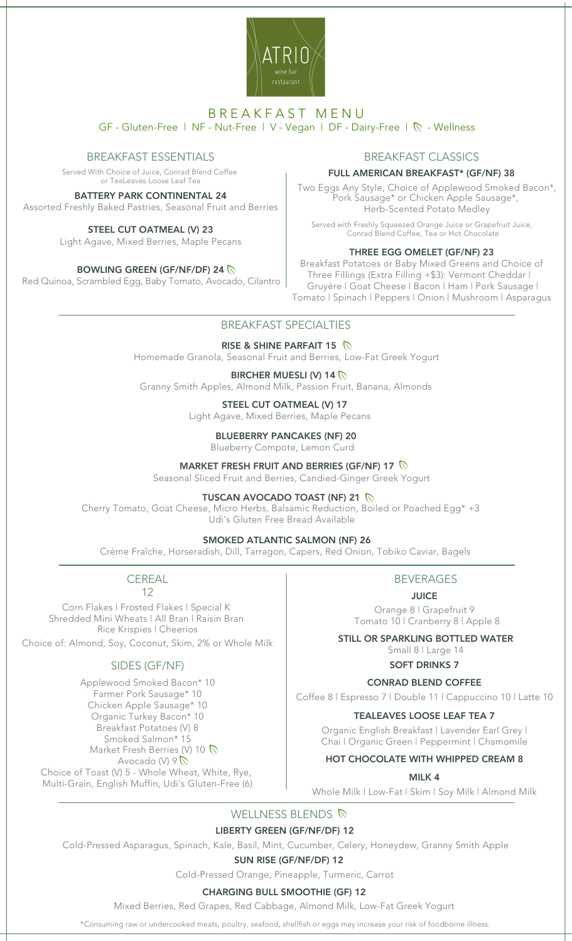

# B R E A K F A S T M E N U GF - Gluten-Free | NF - Nut-Free | V - Vegan | DF - Dairy-Free |  $\oslash$  - Wellness

# BREAKFAST ESSENTIALS

Served With Choice of Juice, Conrad Blend Coffee or TeaLeaves Loose Leaf Tea

#### BATTERY PARK CONTINENTAL 24

Assorted Freshly Baked Pastries, Seasonal Fruit and Berries

# STEEL CUT OATMEAL (V) 23

Light Agave, Mixed Berries, Maple Pecans

# BOWLING GREEN (GF/NF/DF) 24

Red Quinoa, Scrambled Egg, Baby Tomato, Avocado, Cilantro

#### BREAKFAST CLASSICS

### FULL AMERICAN BREAKFAST\* (GF/NF) 38

Two Eggs Any Style, Choice of Applewood Smoked Bacon\*, Pork Sausage\* or Chicken Apple Sausage\*, Herb-Scented Potato Medley

Served with Freshly Squeezed Orange Juice or Grapefruit Juice, Conrad Blend Coffee, Tea or Hot Chocolate

# THREE EGG OMELET (GF/NF) 23

Breakfast Potatoes or Baby Mixed Greens and Choice of Three Fillings (Extra Filling +\$3): Vermont Cheddar | Gruyère | Goat Cheese | Bacon | Ham | Pork Sausage | Tomato | Spinach | Peppers | Onion | Mushroom | Asparagus

# BREAKFAST SPECIALTIES

### RISE & SHINE PARFAIT 15  $\heartsuit$

Homemade Granola, Seasonal Fruit and Berries, Low-Fat Greek Yogurt

### BIRCHER MUESLI (V) 14  $\Diamond$

Granny Smith Apples, Almond Milk, Passion Fruit, Banana, Almonds

### STEEL CUT OATMEAL (V) 17

Light Agave, Mixed Berries, Maple Pecans

# BLUEBERRY PANCAKES (NF) 20

Blueberry Compote, Lemon Curd

#### MARKET FRESH FRUIT AND BERRIES (GF/NF) 17  $\heartsuit$

Seasonal Sliced Fruit and Berries, Candied-Ginger Greek Yogurt

#### TUSCAN AVOCADO TOAST (NF) 21

Cherry Tomato, Goat Cheese, Micro Herbs, Balsamic Reduction, Boiled or Poached Egg\* +3 Udi's Gluten Free Bread Available

# SMOKED ATLANTIC SALMON (NF) 26

Crème Fraîche, Horseradish, Dill, Tarragon, Capers, Red Onion, Tobiko Caviar, Bagels

# CEREAL

12

Corn Flakes | Frosted Flakes | Special K Shredded Mini Wheats | All Bran | Raisin Bran Rice Krispies | Cheerios Choice of:Almond, Soy, Coconut, Skim, 2% or Whole Milk

# SIDES (GF/NF) SIDES (GF/NF)

Applewood Smoked Bacon\* 10 Farmer Pork Sausage\* 10 Chicken Apple Sausage\* 10 Organic Turkey Bacon\* 10 Breakfast Potatoes (V) 8 Smoked Salmon\* 15 Market Fresh Berries (V) 10 Avocado (V)  $9<sup>o</sup>$ Choice of Toast (V) 5 - Whole Wheat, White, Rye, Multi-Grain, English Muffin, Udi's Gluten-Free (6) BEVERAGES

**JUICE** 

Orange 8 | Grapefruit 9 Tomato 10 | Cranberry 8 | Apple 8

## STILL OR SPARKLING BOTTLED WATER

Small 8 | Large 14

# CONRAD BLEND COFFEE

Coffee 8 | Espresso 7 | Double 11 | Cappuccino 10 | Latte 10

# TEALEAVES LOOSE LEAF TEA 7

Organic English Breakfast | Lavender Earl Grey | Chai | Organic Green | Peppermint | Chamomile

#### HOT CHOCOLATE WITH WHIPPED CREAM 8

MILK 4

Whole Milk | Low-Fat | Skim | Soy Milk | Almond Milk

# WELLNESS BLENDS **Q**

### LIBERTY GREEN (GF/NF/DF) 12

Cold-Pressed Asparagus, Spinach, Kale, Basil, Mint, Cucumber, Celery, Honeydew, Granny Smith Apple

SUN RISE (GF/NF/DF) 12

Cold-Pressed Orange, Pineapple, Turmeric, Carrot

# CHARGING BULL SMOOTHIE (GF) 12

Mixed Berries, Red Grapes, Red Cabbage, Almond Milk, Low-Fat Greek Yogurt

\*Consuming raw or undercooked meats, poultry, seafood, shellfish or eggs may increase your risk of foodborne illness.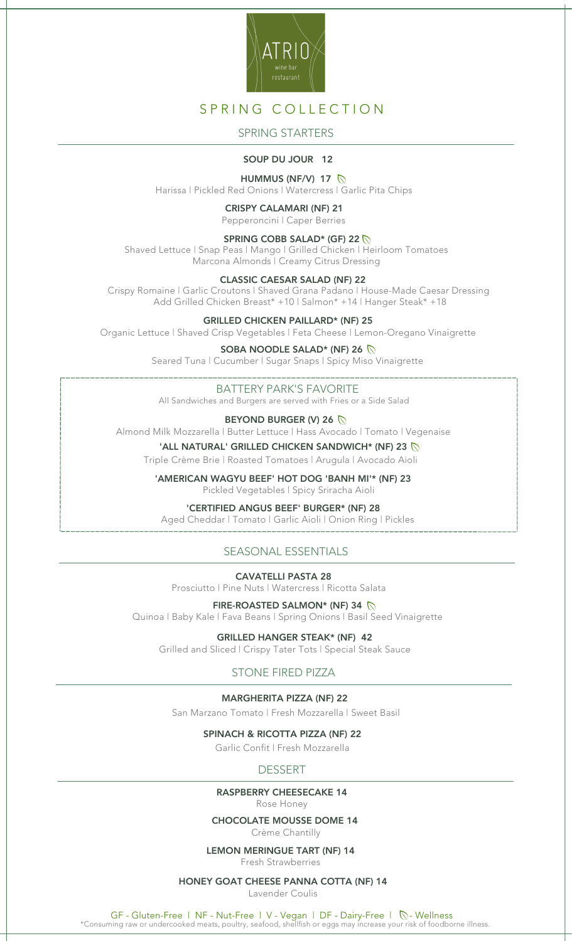

# SPRING COLLECTION

# SPRING STARTERS

# SOUP DU JOUR 12

Harissa | Pickled Red Onions | Watercress | Garlic Pita Chips HUMMUS (NF/V) 17  $\heartsuit$ 

CRISPY CALAMARI (NF) 21

Pepperoncini | Caper Berries

SPRING COBB SALAD\* (GF) 22 Shaved Lettuce | Snap Peas | Mango | Grilled Chicken | Heirloom Tomatoes Marcona Almonds | Creamy Citrus Dressing

CLASSIC CAESAR SALAD (NF) 22

Crispy Romaine | Garlic Croutons | Shaved Grana Padano | House-Made Caesar Dressing Add Grilled Chicken Breast\* +10 | Salmon\* +14 | Hanger Steak\* +18

# GRILLED CHICKEN PAILLARD\* (NF) 25

Organic Lettuce | Shaved Crisp Vegetables | Feta Cheese | Lemon-Oregano Vinaigrette

# SOBA NOODLE SALAD\* (NF) 26  $\Diamond$

Seared Tuna | Cucumber | Sugar Snaps | Spicy Miso Vinaigrette

# BATTERY PARK'S FAVORITE

All Sandwiches and Burgers are served with Fries or a Side Salad

# BEYOND BURGER (V) 26  $\heartsuit$

Almond Milk Mozzarella | Butter Lettuce | Hass Avocado | Tomato | Vegenaise

#### 'ALL NATURAL' GRILLED CHICKEN SANDWICH\* (NF) 23  $\mathbb O$ Triple Crème Brie | Roasted Tomatoes | Arugula | Avocado Aioli

'AMERICAN WAGYU BEEF' HOT DOG 'BANH MI'\* (NF) 23 Pickled Vegetables | Spicy Sriracha Aioli

# 'CERTIFIED ANGUS BEEF' BURGER\* (NF) 28

Aged Cheddar | Tomato | Garlic Aioli | Onion Ring | Pickles

# SEASONAL ESSENTIALS

#### CAVATELLI PASTA 28

Prosciutto | Pine Nuts | Watercress | Ricotta Salata

# FIRE-ROASTED SALMON\* (NF) 34

Quinoa | Baby Kale | Fava Beans | Spring Onions | Basil Seed Vinaigrette

## GRILLED HANGER STEAK\* (NF) 42

Grilled and Sliced | Crispy Tater Tots | Special Steak Sauce

# STONE FIRED PIZZA

#### MARGHERITA PIZZA (NF) 22

San Marzano Tomato | Fresh Mozzarella | Sweet Basil

# SPINACH & RICOTTA PIZZA (NF) 22

Garlic Confit | Fresh Mozzarella

# DESSERT

# RASPBERRY CHEESECAKE 14

Rose Honey

#### CHOCOLATE MOUSSE DOME 14

Crème Chantilly

#### LEMON MERINGUE TART (NF) 14

Fresh Strawberries

#### HONEY GOAT CHEESE PANNA COTTA (NF) 14

Lavender Coulis

GF - Gluten-Free | NF - Nut-Free | V - Vegan | DF - Dairy-Free |  $\Diamond$  - Wellness \*Consuming raw or undercooked meats, poultry, seafood, shellfish or eggs may increase your risk of foodborne illness.